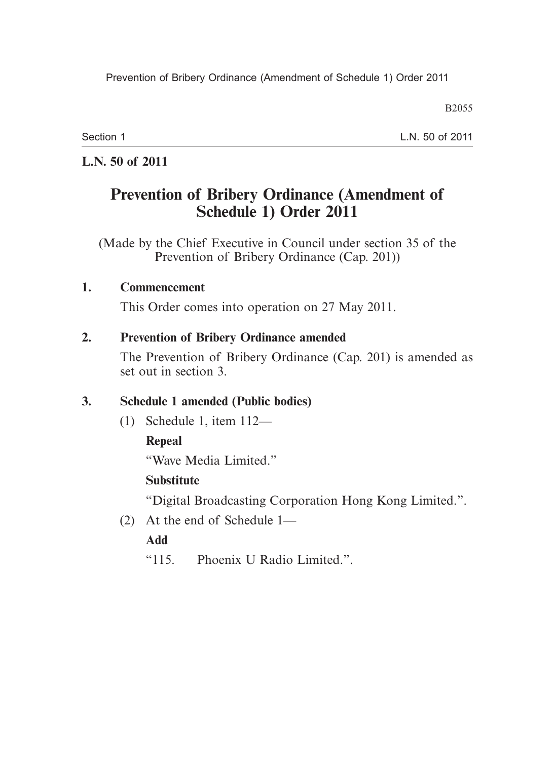B2055

Section 1

L.N. 50 of 2011

## **L.N. 50 of 2011**

# **Prevention of Bribery Ordinance (Amendment of Schedule 1) Order 2011**

(Made by the Chief Executive in Council under section 35 of the Prevention of Bribery Ordinance (Cap. 201))

#### **1. Commencement**

This Order comes into operation on 27 May 2011.

#### **2. Prevention of Bribery Ordinance amended**

The Prevention of Bribery Ordinance (Cap. 201) is amended as set out in section 3.

## **3. Schedule 1 amended (Public bodies)**

(1) Schedule 1, item 112—

## **Repeal**

"Wave Media Limited."

## **Substitute**

"Digital Broadcasting Corporation Hong Kong Limited.".

(2) At the end of Schedule 1—

## **Add**

"115. Phoenix U Radio Limited.".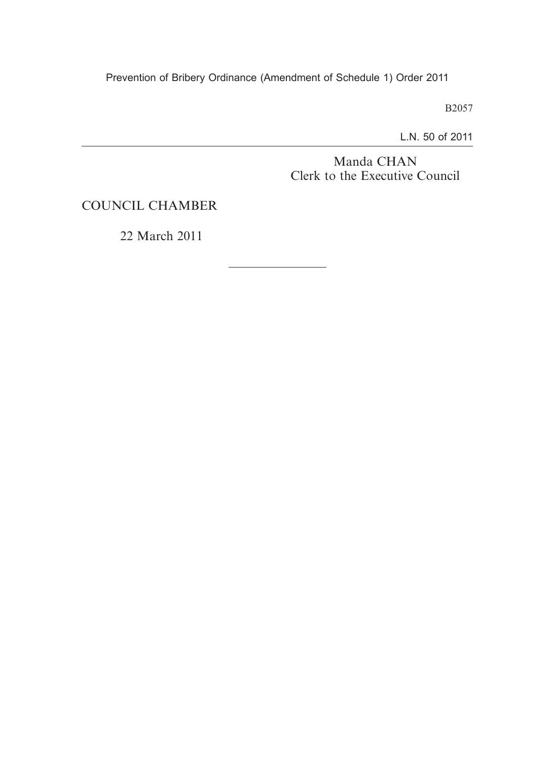Prevention of Bribery Ordinance (Amendment of Schedule 1) Order 2011

B2057

L.N. 50 of 2011

Manda CHAN Clerk to the Executive Council

COUNCIL CHAMBER

22 March 2011